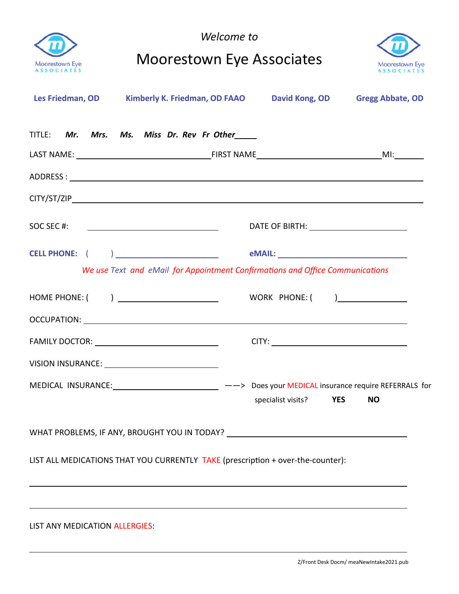| <b>Moorestown Eye</b><br><b>ASSOCIATÉS</b> | Welcome to<br><b>Moorestown Eye Associates</b>                                                                                                                      |                    | Moorestown Eye<br><b>ASSOCIATES</b> |                         |
|--------------------------------------------|---------------------------------------------------------------------------------------------------------------------------------------------------------------------|--------------------|-------------------------------------|-------------------------|
| Les Friedman, OD                           | Kimberly K. Friedman, OD FAAO David Kong, OD                                                                                                                        |                    |                                     | <b>Gregg Abbate, OD</b> |
|                                            | TITLE: Mr. Mrs. Ms. Miss Dr. Rev Fr Other                                                                                                                           |                    |                                     |                         |
|                                            |                                                                                                                                                                     |                    |                                     |                         |
|                                            |                                                                                                                                                                     |                    |                                     |                         |
|                                            |                                                                                                                                                                     |                    |                                     |                         |
|                                            |                                                                                                                                                                     |                    |                                     |                         |
|                                            | We use Text and eMail for Appointment Confirmations and Office Communications                                                                                       |                    |                                     |                         |
|                                            | HOME PHONE: ( ) _______________________                                                                                                                             | WORK PHONE: ( )    |                                     |                         |
|                                            |                                                                                                                                                                     |                    |                                     |                         |
|                                            |                                                                                                                                                                     |                    |                                     |                         |
|                                            | MEDICAL INSURANCE: ____________________________ --> Does your MEDICAL insurance require REFERRALS for                                                               | specialist visits? | <b>YES</b>                          | <b>NO</b>               |
|                                            | WHAT PROBLEMS, IF ANY, BROUGHT YOU IN TODAY? ___________________________________                                                                                    |                    |                                     |                         |
|                                            | LIST ALL MEDICATIONS THAT YOU CURRENTLY TAKE (prescription + over-the-counter):<br>,我们也不会有什么。""我们的人,我们也不会有什么?""我们的人,我们也不会有什么?""我们的人,我们也不会有什么?""我们的人,我们也不会有什么?""我们的人 |                    |                                     |                         |
| LIST ANY MEDICATION ALLERGIES:             |                                                                                                                                                                     |                    |                                     |                         |